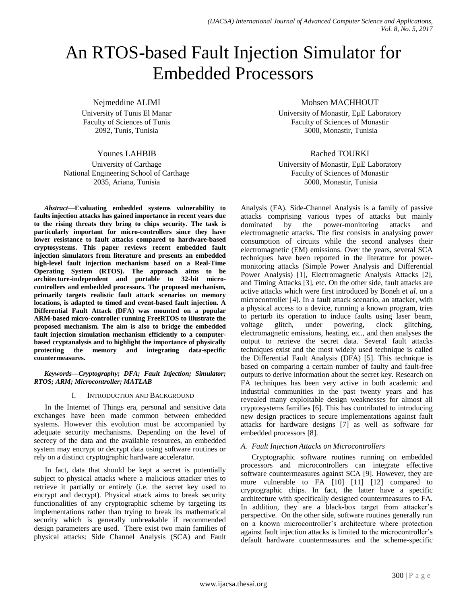# An RTOS-based Fault Injection Simulator for Embedded Processors

Nejmeddine ALIMI

University of Tunis El Manar Faculty of Sciences of Tunis 2092, Tunis, Tunisia

# Younes LAHBIB

University of Carthage National Engineering School of Carthage 2035, Ariana, Tunisia

*Abstract***—Evaluating embedded systems vulnerability to faults injection attacks has gained importance in recent years due to the rising threats they bring to chips security. The task is particularly important for micro-controllers since they have lower resistance to fault attacks compared to hardware-based cryptosystems. This paper reviews recent embedded fault injection simulators from literature and presents an embedded high-level fault injection mechanism based on a Real-Time Operating System (RTOS). The approach aims to be architecture-independent and portable to 32-bit microcontrollers and embedded processors. The proposed mechanism, primarily targets realistic fault attack scenarios on memory locations, is adapted to timed and event-based fault injection. A Differential Fault Attack (DFA) was mounted on a popular ARM-based micro-controller running FreeRTOS to illustrate the proposed mechanism. The aim is also to bridge the embedded fault injection simulation mechanism efficiently to a computerbased cryptanalysis and to highlight the importance of physically protecting the memory and integrating data-specific countermeasures.**

#### *Keywords—Cryptography; DFA; Fault Injection; Simulator; RTOS; ARM; Microcontroller; MATLAB*

# I. INTRODUCTION AND BACKGROUND

In the Internet of Things era, personal and sensitive data exchanges have been made common between embedded systems. However this evolution must be accompanied by adequate security mechanisms. Depending on the level of secrecy of the data and the available resources, an embedded system may encrypt or decrypt data using software routines or rely on a distinct cryptographic hardware accelerator.

In fact, data that should be kept a secret is potentially subject to physical attacks where a malicious attacker tries to retrieve it partially or entirely (i.e. the secret key used to encrypt and decrypt). Physical attack aims to break security functionalities of any cryptographic scheme by targeting its implementations rather than trying to break its mathematical security which is generally unbreakable if recommended design parameters are used. There exist two main families of physical attacks: Side Channel Analysis (SCA) and Fault Mohsen MACHHOUT

University of Monastir, EµE Laboratory Faculty of Sciences of Monastir 5000, Monastir, Tunisia

# Rached TOURKI

University of Monastir, EµE Laboratory Faculty of Sciences of Monastir 5000, Monastir, Tunisia

Analysis (FA). Side-Channel Analysis is a family of passive attacks comprising various types of attacks but mainly dominated by the power-monitoring attacks and electromagnetic attacks. The first consists in analysing power consumption of circuits while the second analyses their electromagnetic (EM) emissions. Over the years, several SCA techniques have been reported in the literature for powermonitoring attacks (Simple Power Analysis and Differential Power Analysis) [1], Electromagnetic Analysis Attacks [2], and Timing Attacks [3], etc. On the other side, fault attacks are active attacks which were first introduced by Boneh et *al.* on a microcontroller [4]. In a fault attack scenario, an attacker, with a physical access to a device, running a known program, tries to perturb its operation to induce faults using laser beam, voltage glitch, under powering, clock glitching, electromagnetic emissions, heating, etc., and then analyses the output to retrieve the secret data. Several fault attacks techniques exist and the most widely used technique is called the Differential Fault Analysis (DFA) [5]. This technique is based on comparing a certain number of faulty and fault-free outputs to derive information about the secret key. Research on FA techniques has been very active in both academic and industrial communities in the past twenty years and has revealed many exploitable design weaknesses for almost all cryptosystems families [6]. This has contributed to introducing new design practices to secure implementations against fault attacks for hardware designs [7] as well as software for embedded processors [8].

# *A. Fault Injection Attacks on Microcontrollers*

Cryptographic software routines running on embedded processors and microcontrollers can integrate effective software countermeasures against SCA [9]. However, they are more vulnerable to FA [10] [11] [12] compared to cryptographic chips. In fact, the latter have a specific architecture with specifically designed countermeasures to FA. In addition, they are a black-box target from attacker's perspective. On the other side, software routines generally run on a known microcontroller's architecture where protection against fault injection attacks is limited to the microcontroller's default hardware countermeasures and the scheme-specific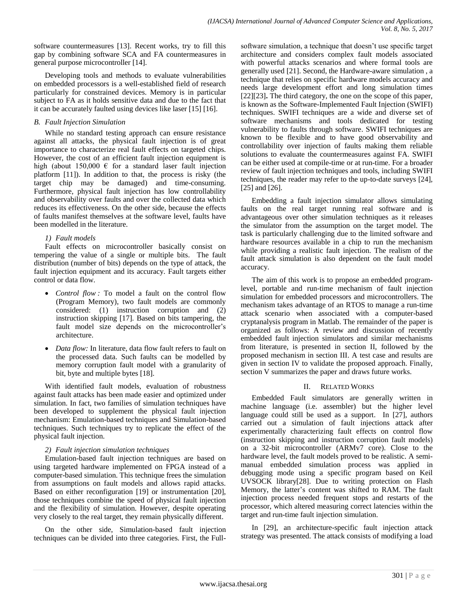software countermeasures [13]. Recent works, try to fill this gap by combining software SCA and FA countermeasures in general purpose microcontroller [14].

Developing tools and methods to evaluate vulnerabilities on embedded processors is a well-established field of research particularly for constrained devices. Memory is in particular subject to FA as it holds sensitive data and due to the fact that it can be accurately faulted using devices like laser [15] [16].

## *B. Fault Injection Simulation*

While no standard testing approach can ensure resistance against all attacks, the physical fault injection is of great importance to characterize real fault effects on targeted chips. However, the cost of an efficient fault injection equipment is high (about 150,000  $\epsilon$  for a standard laser fault injection platform [11]). In addition to that, the process is risky (the target chip may be damaged) and time-consuming. Furthermore, physical fault injection has low controllability and observability over faults and over the collected data which reduces its effectiveness. On the other side, because the effects of faults manifest themselves at the software level, faults have been modelled in the literature.

# *1) Fault models*

Fault effects on microcontroller basically consist on tempering the value of a single or multiple bits. The fault distribution (number of bits) depends on the type of attack, the fault injection equipment and its accuracy. Fault targets either control or data flow.

- *Control flow :* To model a fault on the control flow (Program Memory), two fault models are commonly considered: (1) instruction corruption and (2) instruction skipping [17]. Based on bits tampering, the fault model size depends on the microcontroller's architecture.
- *Data flow:* In literature, data flow fault refers to fault on the processed data. Such faults can be modelled by memory corruption fault model with a granularity of bit, byte and multiple bytes [18].

With identified fault models, evaluation of robustness against fault attacks has been made easier and optimized under simulation. In fact, two families of simulation techniques have been developed to supplement the physical fault injection mechanism: Emulation-based techniques and Simulation-based techniques. Such techniques try to replicate the effect of the physical fault injection.

#### *2) Fault injection simulation techniques*

Emulation-based fault injection techniques are based on using targeted hardware implemented on FPGA instead of a computer-based simulation. This technique frees the simulation from assumptions on fault models and allows rapid attacks. Based on either reconfiguration [19] or instrumentation [20], those techniques combine the speed of physical fault injection and the flexibility of simulation. However, despite operating very closely to the real target, they remain physically different.

On the other side, Simulation-based fault injection techniques can be divided into three categories. First, the Fullsoftware simulation, a technique that doesn't use specific target architecture and considers complex fault models associated with powerful attacks scenarios and where formal tools are generally used [21]. Second, the Hardware-aware simulation , a technique that relies on specific hardware models accuracy and needs large development effort and long simulation times [22][23]**.** The third category, the one on the scope of this paper, is known as the Software-Implemented Fault Injection (SWIFI) techniques. SWIFI techniques are a wide and diverse set of software mechanisms and tools dedicated for testing vulnerability to faults through software. SWIFI techniques are known to be flexible and to have good observability and controllability over injection of faults making them reliable solutions to evaluate the countermeasures against FA. SWIFI can be either used at compile-time or at run-time. For a broader review of fault injection techniques and tools, including SWIFI techniques, the reader may refer to the up-to-date surveys [24], [25] and [26].

Embedding a fault injection simulator allows simulating faults on the real target running real software and is advantageous over other simulation techniques as it releases the simulator from the assumption on the target model. The task is particularly challenging due to the limited software and hardware resources available in a chip to run the mechanism while providing a realistic fault injection. The realism of the fault attack simulation is also dependent on the fault model accuracy.

The aim of this work is to propose an embedded programlevel, portable and run-time mechanism of fault injection simulation for embedded processors and microcontrollers. The mechanism takes advantage of an RTOS to manage a run-time attack scenario when associated with a computer-based cryptanalysis program in Matlab. The remainder of the paper is organized as follows: A review and discussion of recently embedded fault injection simulators and similar mechanisms from literature, is presented in section II, followed by the proposed mechanism in section III. A test case and results are given in section IV to validate the proposed approach. Finally, section V summarizes the paper and draws future works.

#### II. RELATED WORKS

Embedded Fault simulators are generally written in machine language (i.e. assembler) but the higher level language could still be used as a support. In [27], authors carried out a simulation of fault injections attack after experimentally characterizing fault effects on control flow (instruction skipping and instruction corruption fault models) on a 32-bit microcontroller (ARMv7 core). Close to the hardware level, the fault models proved to be realistic. A semimanual embedded simulation process was applied in debugging mode using a specific program based on Keil UVSOCK library[28]. Due to writing protection on Flash Memory, the latter's content was shifted to RAM. The fault injection process needed frequent stops and restarts of the processor, which altered measuring correct latencies within the target and run-time fault injection simulation.

In [29], an architecture-specific fault injection attack strategy was presented. The attack consists of modifying a load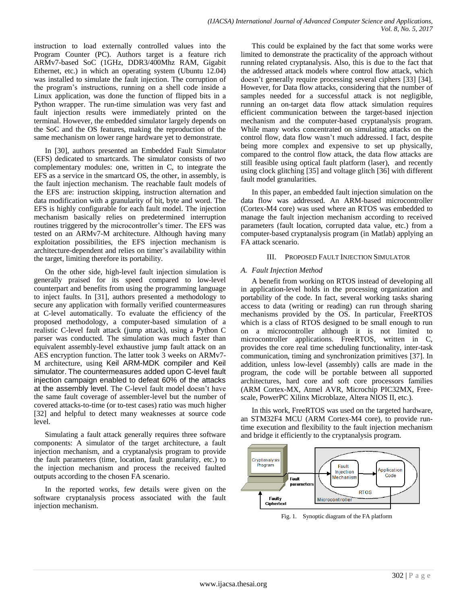instruction to load externally controlled values into the Program Counter (PC). Authors target is a feature rich ARMv7-based SoC (1GHz, DDR3/400Mhz RAM, Gigabit Ethernet, etc.) in which an operating system (Ubuntu 12.04) was installed to simulate the fault injection. The corruption of the program's instructions, running on a shell code inside a Linux application, was done the function of flipped bits in a Python wrapper. The run-time simulation was very fast and fault injection results were immediately printed on the terminal. However, the embedded simulator largely depends on the SoC and the OS features, making the reproduction of the same mechanism on lower range hardware yet to demonstrate.

In [30], authors presented an Embedded Fault Simulator (EFS) dedicated to smartcards. The simulator consists of two complementary modules: one, written in C, to integrate the EFS as a service in the smartcard OS, the other, in assembly, is the fault injection mechanism. The reachable fault models of the EFS are: instruction skipping, instruction alternation and data modification with a granularity of bit, byte and word. The EFS is highly configurable for each fault model. The injection mechanism basically relies on predetermined interruption routines triggered by the microcontroller's timer. The EFS was tested on an ARMv7-M architecture. Although having many exploitation possibilities, the EFS injection mechanism is architecture-dependent and relies on timer's availability within the target, limiting therefore its portability.

On the other side, high-level fault injection simulation is generally praised for its speed compared to low-level counterpart and benefits from using the programming language to inject faults. In [31], authors presented a methodology to secure any application with formally verified countermeasures at C-level automatically. To evaluate the efficiency of the proposed methodology, a computer-based simulation of a realistic C-level fault attack (jump attack), using a Python C parser was conducted. The simulation was much faster than equivalent assembly-level exhaustive jump fault attack on an AES encryption function. The latter took 3 weeks on ARMv7- M architecture, using Keil ARM-MDK compiler and Keil simulator. The countermeasures added upon C-level fault injection campaign enabled to defeat 60% of the attacks at the assembly level. The C-level fault model doesn't have the same fault coverage of assembler-level but the number of covered attacks-to-time (or to-test cases) ratio was much higher [32] and helpful to detect many weaknesses at source code level.

Simulating a fault attack generally requires three software components: A simulator of the target architecture, a fault injection mechanism, and a cryptanalysis program to provide the fault parameters (time, location, fault granularity, etc.) to the injection mechanism and process the received faulted outputs according to the chosen FA scenario.

In the reported works, few details were given on the software cryptanalysis process associated with the fault injection mechanism.

This could be explained by the fact that some works were limited to demonstrate the practicality of the approach without running related cryptanalysis. Also, this is due to the fact that the addressed attack models where control flow attack, which doesn't generally require processing several ciphers [33] [34]. However, for Data flow attacks, considering that the number of samples needed for a successful attack is not negligible, running an on-target data flow attack simulation requires efficient communication between the target-based injection mechanism and the computer-based cryptanalysis program. While many works concentrated on simulating attacks on the control flow, data flow wasn't much addressed. I fact, despite being more complex and expensive to set up physically, compared to the control flow attack, the data flow attacks are still feasible using optical fault platform (laser), and recently using clock glitching [35] and voltage glitch [36] with different fault model granularities.

In this paper, an embedded fault injection simulation on the data flow was addressed. An ARM-based microcontroller (Cortex-M4 core) was used where an RTOS was embedded to manage the fault injection mechanism according to received parameters (fault location, corrupted data value, etc.) from a computer-based cryptanalysis program (in Matlab) applying an FA attack scenario.

## III. PROPOSED FAULT INJECTION SIMULATOR

## *A. Fault Injection Method*

A benefit from working on RTOS instead of developing all in application-level holds in the processing organization and portability of the code. In fact, several working tasks sharing access to data (writing or reading) can run through sharing mechanisms provided by the OS. In particular, FreeRTOS which is a class of RTOS designed to be small enough to run on a microcontroller although it is not limited to microcontroller applications. FreeRTOS, written in C, provides the core real time scheduling functionality, inter-task communication, timing and synchronization primitives [37]. In addition, unless low-level (assembly) calls are made in the program, the code will be portable between all supported architectures, hard core and soft core processors families (ARM Cortex-MX, Atmel AVR, Microchip PIC32MX, Freescale, PowerPC Xilinx Microblaze, Altera NIOS II, etc.).

In this work, FreeRTOS was used on the targeted hardware, an STM32F4 MCU (ARM Cortex-M4 core), to provide runtime execution and flexibility to the fault injection mechanism and bridge it efficiently to the cryptanalysis program.



Fig. 1. Synoptic diagram of the FA platform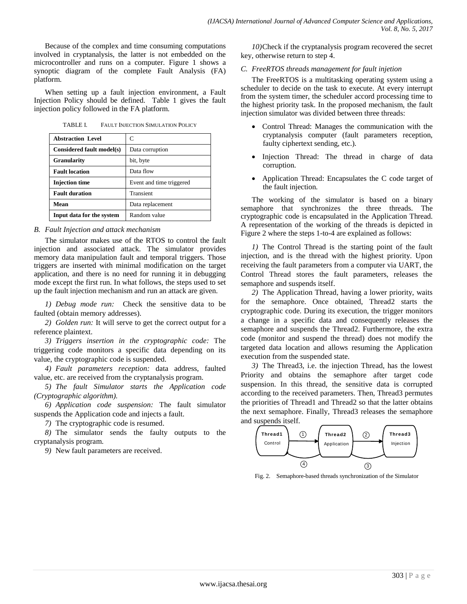Because of the complex and time consuming computations involved in cryptanalysis, the latter is not embedded on the microcontroller and runs on a computer. Figure 1 shows a synoptic diagram of the complete Fault Analysis (FA) platform.

When setting up a fault injection environment, a Fault Injection Policy should be defined. Table 1 gives the fault injection policy followed in the FA platform.

TABLE I. FAULT INJECTION SIMULATION POLICY

| <b>Abstraction Level</b>  | C                        |
|---------------------------|--------------------------|
| Considered fault model(s) | Data corruption          |
| <b>Granularity</b>        | bit, byte                |
| <b>Fault location</b>     | Data flow                |
| <b>Injection time</b>     | Event and time triggered |
| <b>Fault duration</b>     | Transient                |
| Mean                      | Data replacement         |
| Input data for the system | Random value             |

#### *B. Fault Injection and attack mechanism*

The simulator makes use of the RTOS to control the fault injection and associated attack. The simulator provides memory data manipulation fault and temporal triggers. Those triggers are inserted with minimal modification on the target application, and there is no need for running it in debugging mode except the first run. In what follows, the steps used to set up the fault injection mechanism and run an attack are given.

*1) Debug mode run:* Check the sensitive data to be faulted (obtain memory addresses).

*2) Golden run:* It will serve to get the correct output for a reference plaintext.

*3) Triggers insertion in the cryptographic code:* The triggering code monitors a specific data depending on its value, the cryptographic code is suspended.

*4) Fault parameters reception:* data address, faulted value, etc. are received from the cryptanalysis program.

*5) The fault Simulator starts the Application code (Cryptographic algorithm).*

*6) Application code suspension:* The fault simulator suspends the Application code and injects a fault.

*7)* The cryptographic code is resumed.

*8)* The simulator sends the faulty outputs to the cryptanalysis program.

*9)* New fault parameters are received.

*10)*Check if the cryptanalysis program recovered the secret key, otherwise return to step 4.

## *C. FreeRTOS threads management for fault injetion*

The FreeRTOS is a multitasking operating system using a scheduler to decide on the task to execute. At every interrupt from the system timer, the scheduler accord processing time to the highest priority task. In the proposed mechanism, the fault injection simulator was divided between three threads:

- Control Thread: Manages the communication with the cryptanalysis computer (fault parameters reception, faulty ciphertext sending, etc.).
- Injection Thread: The thread in charge of data corruption.
- Application Thread: Encapsulates the C code target of the fault injection.

The working of the simulator is based on a binary semaphore that synchronizes the three threads. The cryptographic code is encapsulated in the Application Thread. A representation of the working of the threads is depicted in Figure 2 where the steps 1-to-4 are explained as follows:

*1)* The Control Thread is the starting point of the fault injection, and is the thread with the highest priority. Upon receiving the fault parameters from a computer via UART, the Control Thread stores the fault parameters, releases the semaphore and suspends itself.

*2)* The Application Thread, having a lower priority, waits for the semaphore. Once obtained, Thread2 starts the cryptographic code. During its execution, the trigger monitors a change in a specific data and consequently releases the semaphore and suspends the Thread2. Furthermore, the extra code (monitor and suspend the thread) does not modify the targeted data location and allows resuming the Application execution from the suspended state. **The conduct of the conductive of the conduction**  $\mathbf{V}(\mathbf{z}, \mathbf{S}, \mathbf{X}, \mathbf{S})$ .<br> **The conduct of the conductive set of the conduct of the set of the set of the set of the set of the set of the set of the set of the se** 

*3)* The Thread3, i.e. the injection Thread, has the lowest Priority and obtains the semaphore after target code suspension. In this thread, the sensitive data is corrupted according to the received parameters. Then, Thread3 permutes the priorities of Thread1 and Thread2 so that the latter obtains the next semaphore. Finally, Thread3 releases the semaphore and suspends itself.



Fig. 2. Semaphore-based threads synchronization of the Simulator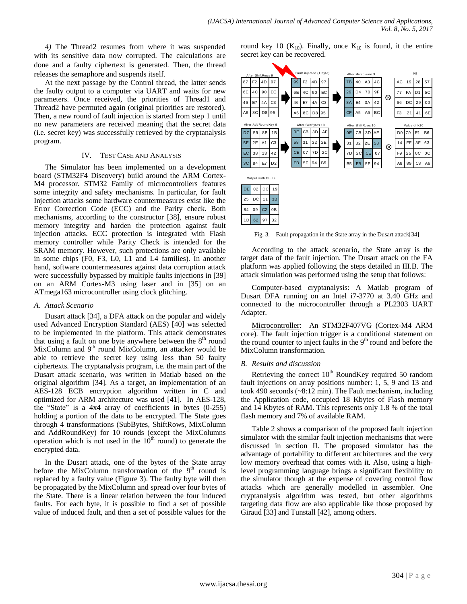*4)* The Thread2 resumes from where it was suspended with its sensitive data now corrupted. The calculations are done and a faulty ciphertext is generated. Then, the thread releases the semaphore and suspends itself.

At the next passage by the Control thread, the latter sends the faulty output to a computer via UART and waits for new parameters. Once received, the priorities of Thread1 and Thread2 have permuted again (original priorities are restored). Then, a new round of fault injection is started from step 1 until no new parameters are received meaning that the secret data (i.e. secret key) was successfully retrieved by the cryptanalysis program.

## IV. TEST CASE AND ANALYSIS

The Simulator has been implemented on a development board (STM32F4 Discovery) build around the ARM Cortex-M4 processor. STM32 Family of microcontrollers features some integrity and safety mechanisms. In particular, for fault Injection attacks some hardware countermeasures exist like the Error Correction Code (ECC) and the Parity check. Both mechanisms, according to the constructor [38], ensure robust memory integrity and harden the protection against fault injection attacks. ECC protection is integrated with Flash memory controller while Parity Check is intended for the SRAM memory. However, such protections are only available in some chips (F0, F3, L0, L1 and L4 families). In another hand, software countermeasures against data corruption attack were successfully bypassed by multiple faults injections in [39] on an ARM Cortex-M3 using laser and in [35] on an ATmega163 microcontroller using clock glitching.

#### *A. Attack Scenario*

Dusart attack [34], a DFA attack on the popular and widely used Advanced Encryption Standard (AES) [40] was selected to be implemented in the platform. This attack demonstrates that using a fault on one byte anywhere between the  $8<sup>th</sup>$  round MixColumn and  $9<sup>th</sup>$  round MixColumn, an attacker would be able to retrieve the secret key using less than 50 faulty ciphertexts. The cryptanalysis program, i.e. the main part of the Dusart attack scenario, was written in Matlab based on the original algorithm [34]. As a target, an implementation of an AES-128 ECB encryption algorithm written in C and optimized for ARM architecture was used [41]. In AES-128, the "State" is a 4x4 array of coefficients in bytes (0-255) holding a portion of the data to be encrypted. The State goes through 4 transformations (SubBytes, ShiftRows, MixColumn and AddRoundKey) for 10 rounds (except the MixColumns operation which is not used in the  $10<sup>th</sup>$  round) to generate the encrypted data.

In the Dusart attack, one of the bytes of the State array before the MixColumn transformation of the  $9<sup>th</sup>$  round is replaced by a faulty value (Figure 3). The faulty byte will then be propagated by the MixColumn and spread over four bytes of the State. There is a linear relation between the four induced faults. For each byte, it is possible to find a set of possible value of induced fault, and then a set of possible values for the

round key 10 ( $K_{10}$ ). Finally, once  $K_{10}$  is found, it the entire secret key can be recovered.



Fig. 3. Fault propagation in the State array in the Dusart attack[34]

According to the attack scenario, the State array is the target data of the fault injection. The Dusart attack on the FA platform was applied following the steps detailed in III.B. The attack simulation was performed using the setup that follows:

Computer-based cryptanalysis: A Matlab program of Dusart DFA running on an Intel i7-3770 at 3.40 GHz and connected to the microcontroller through a PL2303 UART Adapter.

Microcontroller: An STM32F407VG (Cortex-M4 ARM core). The fault injection trigger is a conditional statement on the round counter to inject faults in the  $9<sup>th</sup>$  round and before the MixColumn transformation.

# *B. Results and discussion*

Retrieving the correct  $10<sup>th</sup>$  RoundKey required 50 random fault injections on array positions number: 1, 5, 9 and 13 and took 490 seconds (~8:12 min). The Fault mechanism, including the Application code, occupied 18 Kbytes of Flash memory and 14 Kbytes of RAM. This represents only 1.8 % of the total flash memory and 7% of available RAM.

Table 2 shows a comparison of the proposed fault injection simulator with the similar fault injection mechanisms that were discussed in section II. The proposed simulator has the advantage of portability to different architectures and the very low memory overhead that comes with it. Also, using a highlevel programming language brings a significant flexibility to the simulator though at the expense of covering control flow attacks which are generally modelled in assembler. One cryptanalysis algorithm was tested, but other algorithms targeting data flow are also applicable like those proposed by Giraud [33] and Tunstall [42], among others.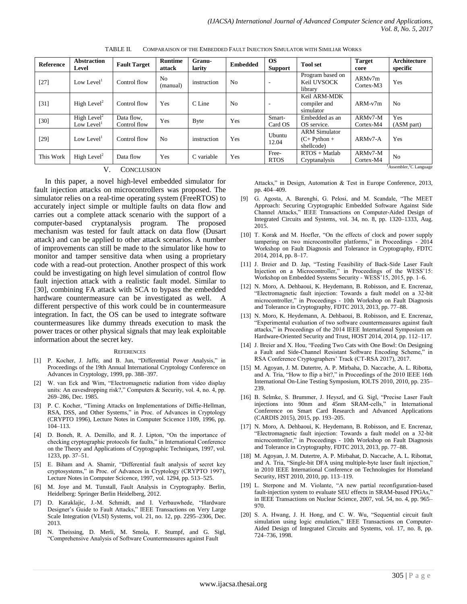| <b>Reference</b>                                                                          | <b>Abstraction</b><br>Level                       | <b>Fault Target</b>        | <b>Runtime</b><br>attack | Granu-<br>larity | <b>Embedded</b> | <b>OS</b><br>Support | <b>Tool</b> set                                      | <b>Target</b><br>core             | <b>Architecture</b><br>specific |
|-------------------------------------------------------------------------------------------|---------------------------------------------------|----------------------------|--------------------------|------------------|-----------------|----------------------|------------------------------------------------------|-----------------------------------|---------------------------------|
| $[27]$                                                                                    | Low Level <sup>1</sup>                            | Control flow               | No<br>(manual)           | instruction      | N <sub>o</sub>  | ۰                    | Program based on<br>Keil UVSOCK<br>library           | ARM <sub>v7m</sub><br>Cortex-M3   | Yes                             |
| $[31]$                                                                                    | High Level <sup>2</sup>                           | Control flow               | Yes                      | C Line           | N <sub>o</sub>  |                      | Keil ARM-MDK<br>compiler and<br>simulator            | $ARM-v7m$                         | No                              |
| $[30]$                                                                                    | High Level <sup>2</sup><br>Low Level <sup>1</sup> | Data flow,<br>Control flow | Yes                      | <b>B</b> yte     | Yes             | Smart-<br>Card OS    | Embedded as an<br>OS service.                        | ARMv7-M<br>Cortex-M4              | Yes<br>(ASM part)               |
| $[29]$                                                                                    | Low Level <sup>1</sup>                            | Control flow               | N <sub>o</sub>           | instruction      | Yes             | Ubuntu<br>12.04      | <b>ARM</b> Simulator<br>$(C+$ Python +<br>shellcode) | ARM <sub>v</sub> 7-A              | Yes                             |
| This Work                                                                                 | High Level <sup>2</sup>                           | Data flow                  | Yes                      | C variable       | Yes             | Free-<br><b>RTOS</b> | $RTOS + Matlab$<br>Cryptanalysis                     | ARM <sub>v7</sub> -M<br>Cortex-M4 | N <sub>o</sub>                  |
| Assembler, <sup>2</sup> C Language<br><b>TT</b><br>$0$ $\sim$ $\sim$ $\sim$ $\sim$ $\sim$ |                                                   |                            |                          |                  |                 |                      |                                                      |                                   |                                 |

TABLE II. COMPARAISON OF THE EMBEDDED FAULT INJECTION SIMULATOR WITH SIMILIAR WORKS

#### **CONCLUSION**

In this paper, a novel high-level embedded simulator for fault injection attacks on microcontrollers was proposed. The simulator relies on a real-time operating system (FreeRTOS) to accurately inject simple or multiple faults on data flow and carries out a complete attack scenario with the support of a computer-based cryptanalysis program. The proposed mechanism was tested for fault attack on data flow (Dusart attack) and can be applied to other attack scenarios. A number of improvements can still be made to the simulator like how to monitor and tamper sensitive data when using a proprietary code with a read-out protection. Another prospect of this work could be investigating on high level simulation of control flow fault injection attack with a realistic fault model. Similar to [30], combining FA attack with SCA to bypass the embedded hardware countermeasure can be investigated as well. A different perspective of this work could be in countermeasure integration. In fact, the OS can be used to integrate software countermeasures like dummy threads execution to mask the power traces or other physical signals that may leak exploitable information about the secret key.

#### **REFERENCES**

- [1] P. Kocher, J. Jaffe, and B. Jun, "Differential Power Analysis," in Proceedings of the 19th Annual International Cryptology Conference on Advances in Cryptology, 1999, pp. 388–397.
- [2] W. van Eck and Wim, "Electromagnetic radiation from video display units: An eavesdropping risk?," Computers & Security, vol. 4, no. 4, pp. 269–286, Dec. 1985.
- [3] P. C. Kocher, "Timing Attacks on Implementations of Diffie-Hellman, RSA, DSS, and Other Systems," in Proc. of Advances in Cryptology (CRYPTO 1996), Lecture Notes in Computer Scicence 1109, 1996, pp. 104–113.
- [4] D. Boneh, R. A. Demillo, and R. J. Lipton, "On the importance of checking cryptographic protocols for faults," in International Conference on the Theory and Applications of Cryptographic Techniques, 1997, vol. 1233, pp. 37–51.
- [5] E. Biham and A. Shamir, "Differential fault analysis of secret key cryptosystems," in Proc. of Advances in Cryptology (CRYPTO 1997), Lecture Notes in Computer Scicence, 1997, vol. 1294, pp. 513–525.
- [6] M. Joye and M. Tunstall, Fault Analysis in Cryptography. Berlin, Heidelberg: Springer Berlin Heidelberg, 2012.
- [7] D. Karaklajic, J.-M. Schmidt, and I. Verbauwhede, "Hardware Designer's Guide to Fault Attacks," IEEE Transactions on Very Large Scale Integration (VLSI) Systems, vol. 21, no. 12, pp. 2295–2306, Dec. 2013.
- [8] N. Theissing, D. Merli, M. Smola, F. Stumpf, and G. Sigl, "Comprehensive Analysis of Software Countermeasures against Fault

Attacks," in Design, Automation & Test in Europe Conference, 2013, pp. 404–409.

- [9] G. Agosta, A. Barenghi, G. Pelosi, and M. Scandale, "The MEET Approach: Securing Cryptographic Embedded Software Against Side Channel Attacks," IEEE Transactions on Computer-Aided Design of Integrated Circuits and Systems, vol. 34, no. 8, pp. 1320–1333, Aug. 2015.
- [10] T. Korak and M. Hoefler, "On the effects of clock and power supply tampering on two microcontroller platforms," in Proceedings - 2014 Workshop on Fault Diagnosis and Tolerance in Cryptography, FDTC 2014, 2014, pp. 8–17.
- [11] J. Breier and D. Jap, "Testing Feasibility of Back-Side Laser Fault Injection on a Microcontroller," in Proceedings of the WESS'15: Workshop on Embedded Systems Security - WESS'15, 2015, pp. 1–6.
- [12] N. Moro, A. Dehbaoui, K. Heydemann, B. Robisson, and E. Encrenaz, "Electromagnetic fault injection: Towards a fault model on a 32-bit microcontroller," in Proceedings - 10th Workshop on Fault Diagnosis and Tolerance in Cryptography, FDTC 2013, 2013, pp. 77–88.
- [13] N. Moro, K. Heydemann, A. Dehbaoui, B. Robisson, and E. Encrenaz, "Experimental evaluation of two software countermeasures against fault attacks," in Proceedings of the 2014 IEEE International Symposium on Hardware-Oriented Security and Trust, HOST 2014, 2014, pp. 112–117.
- [14] J. Breier and X. Hou, "Feeding Two Cats with One Bowl: On Designing a Fault and Side-Channel Resistant Software Encoding Scheme," in RSA Conference Cryptographers' Track (CT-RSA 2017), 2017.
- [15] M. Agoyan, J. M. Dutertre, A. P. Mirbaha, D. Naccache, A. L. Ribotta, and A. Tria, "How to flip a bit?," in Proceedings of the 2010 IEEE 16th International On-Line Testing Symposium, IOLTS 2010, 2010, pp. 235– 239.
- [16] B. Selmke, S. Brummer, J. Heyszl, and G. Sigl, "Precise Laser Fault injections into 90nm and 45nm SRAM-cells," in International Conference on Smart Card Research and Advanced Applications (CARDIS 2015), 2015, pp. 193–205.
- [17] N. Moro, A. Dehbaoui, K. Heydemann, B. Robisson, and E. Encrenaz, "Electromagnetic fault injection: Towards a fault model on a 32-bit microcontroller," in Proceedings - 10th Workshop on Fault Diagnosis and Tolerance in Cryptography, FDTC 2013, 2013, pp. 77–88.
- [18] M. Agoyan, J. M. Dutertre, A. P. Mirbahat, D. Naccache, A. L. Ribottat, and A. Tria, "Single-bit DFA using multiple-byte laser fault injection," in 2010 IEEE International Conference on Technologies for Homeland Security, HST 2010, 2010, pp. 113–119.
- [19] L. Sterpone and M. Violante, "A new partial reconfiguration-based fault-injection system to evaluate SEU effects in SRAM-based FPGAs," in IEEE Transactions on Nuclear Science, 2007, vol. 54, no. 4, pp. 965– 970.
- [20] S. A. Hwang, J. H. Hong, and C. W. Wu, "Sequential circuit fault simulation using logic emulation," IEEE Transactions on Computer-Aided Design of Integrated Circuits and Systems, vol. 17, no. 8, pp. 724–736, 1998.